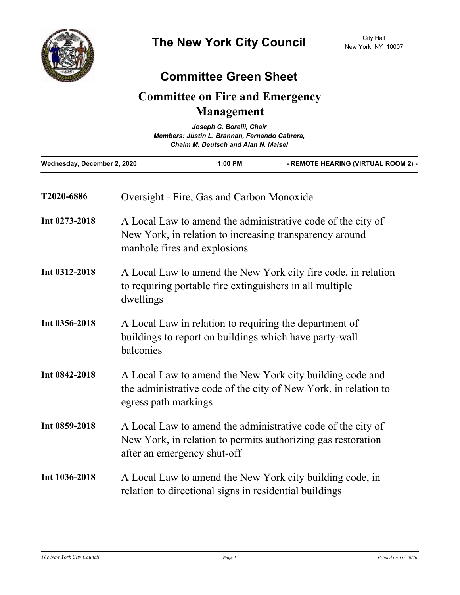## **Committee Green Sheet**

## **Committee on Fire and Emergency Management**

| Joseph C. Borelli, Chair<br>Members: Justin L. Brannan, Fernando Cabrera,<br><b>Chaim M. Deutsch and Alan N. Maisel</b> |           |                                                                                                                                                            |                                     |  |
|-------------------------------------------------------------------------------------------------------------------------|-----------|------------------------------------------------------------------------------------------------------------------------------------------------------------|-------------------------------------|--|
| Wednesday, December 2, 2020                                                                                             |           | 1:00 PM                                                                                                                                                    | - REMOTE HEARING (VIRTUAL ROOM 2) - |  |
| T2020-6886                                                                                                              |           | Oversight - Fire, Gas and Carbon Monoxide                                                                                                                  |                                     |  |
| Int 0273-2018                                                                                                           |           | A Local Law to amend the administrative code of the city of<br>New York, in relation to increasing transparency around<br>manhole fires and explosions     |                                     |  |
| Int 0312-2018                                                                                                           | dwellings | A Local Law to amend the New York city fire code, in relation<br>to requiring portable fire extinguishers in all multiple                                  |                                     |  |
| Int 0356-2018                                                                                                           | balconies | A Local Law in relation to requiring the department of<br>buildings to report on buildings which have party-wall                                           |                                     |  |
| Int 0842-2018                                                                                                           |           | A Local Law to amend the New York city building code and<br>the administrative code of the city of New York, in relation to<br>egress path markings        |                                     |  |
| Int 0859-2018                                                                                                           |           | A Local Law to amend the administrative code of the city of<br>New York, in relation to permits authorizing gas restoration<br>after an emergency shut-off |                                     |  |
| Int 1036-2018                                                                                                           |           | A Local Law to amend the New York city building code, in<br>relation to directional signs in residential buildings                                         |                                     |  |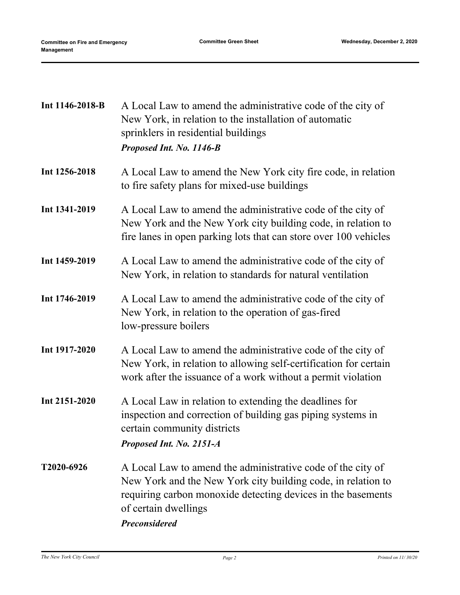| Int 1146-2018-B | A Local Law to amend the administrative code of the city of<br>New York, in relation to the installation of automatic<br>sprinklers in residential buildings<br>Proposed Int. No. 1146-B                                                    |  |  |
|-----------------|---------------------------------------------------------------------------------------------------------------------------------------------------------------------------------------------------------------------------------------------|--|--|
| Int 1256-2018   | A Local Law to amend the New York city fire code, in relation<br>to fire safety plans for mixed-use buildings                                                                                                                               |  |  |
| Int 1341-2019   | A Local Law to amend the administrative code of the city of<br>New York and the New York city building code, in relation to<br>fire lanes in open parking lots that can store over 100 vehicles                                             |  |  |
| Int 1459-2019   | A Local Law to amend the administrative code of the city of<br>New York, in relation to standards for natural ventilation                                                                                                                   |  |  |
| Int 1746-2019   | A Local Law to amend the administrative code of the city of<br>New York, in relation to the operation of gas-fired<br>low-pressure boilers                                                                                                  |  |  |
| Int 1917-2020   | A Local Law to amend the administrative code of the city of<br>New York, in relation to allowing self-certification for certain<br>work after the issuance of a work without a permit violation                                             |  |  |
| Int 2151-2020   | A Local Law in relation to extending the deadlines for<br>inspection and correction of building gas piping systems in<br>certain community districts<br>Proposed Int. No. 2151-A                                                            |  |  |
| T2020-6926      | A Local Law to amend the administrative code of the city of<br>New York and the New York city building code, in relation to<br>requiring carbon monoxide detecting devices in the basements<br>of certain dwellings<br><b>Preconsidered</b> |  |  |